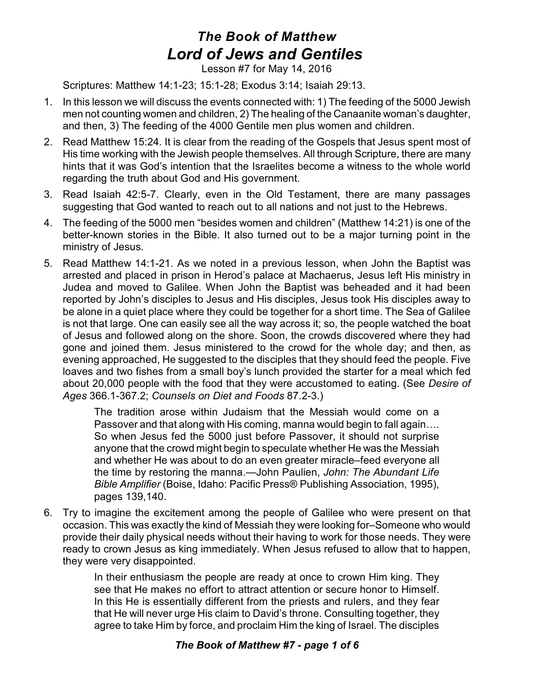# *The Book of Matthew Lord of Jews and Gentiles*

Lesson #7 for May 14, 2016

Scriptures: Matthew 14:1-23; 15:1-28; Exodus 3:14; Isaiah 29:13.

- 1. In this lesson we will discuss the events connected with: 1) The feeding of the 5000 Jewish men not counting women and children, 2) The healing of the Canaanite woman's daughter, and then, 3) The feeding of the 4000 Gentile men plus women and children.
- 2. Read Matthew 15:24. It is clear from the reading of the Gospels that Jesus spent most of His time working with the Jewish people themselves. All through Scripture, there are many hints that it was God's intention that the Israelites become a witness to the whole world regarding the truth about God and His government.
- 3. Read Isaiah 42:5-7. Clearly, even in the Old Testament, there are many passages suggesting that God wanted to reach out to all nations and not just to the Hebrews.
- 4. The feeding of the 5000 men "besides women and children" (Matthew 14:21) is one of the better-known stories in the Bible. It also turned out to be a major turning point in the ministry of Jesus.
- 5. Read Matthew 14:1-21. As we noted in a previous lesson, when John the Baptist was arrested and placed in prison in Herod's palace at Machaerus, Jesus left His ministry in Judea and moved to Galilee. When John the Baptist was beheaded and it had been reported by John's disciples to Jesus and His disciples, Jesus took His disciples away to be alone in a quiet place where they could be together for a short time. The Sea of Galilee is not that large. One can easily see all the way across it; so, the people watched the boat of Jesus and followed along on the shore. Soon, the crowds discovered where they had gone and joined them. Jesus ministered to the crowd for the whole day; and then, as evening approached, He suggested to the disciples that they should feed the people. Five loaves and two fishes from a small boy's lunch provided the starter for a meal which fed about 20,000 people with the food that they were accustomed to eating. (See *Desire of Ages* 366.1-367.2; *Counsels on Diet and Foods* 87.2-3.)

The tradition arose within Judaism that the Messiah would come on a Passover and that along with His coming, manna would begin to fall again…. So when Jesus fed the 5000 just before Passover, it should not surprise anyone that the crowd might begin to speculate whether He was the Messiah and whether He was about to do an even greater miracle–feed everyone all the time by restoring the manna.—John Paulien, *John: The Abundant Life Bible Amplifier* (Boise, Idaho: Pacific Press® Publishing Association, 1995), pages 139,140.

6. Try to imagine the excitement among the people of Galilee who were present on that occasion. This was exactly the kind of Messiah they were looking for–Someone who would provide their daily physical needs without their having to work for those needs. They were ready to crown Jesus as king immediately. When Jesus refused to allow that to happen, they were very disappointed.

> In their enthusiasm the people are ready at once to crown Him king. They see that He makes no effort to attract attention or secure honor to Himself. In this He is essentially different from the priests and rulers, and they fear that He will never urge His claim to David's throne. Consulting together, they agree to take Him by force, and proclaim Him the king of Israel. The disciples

# *The Book of Matthew #7 - page 1 of 6*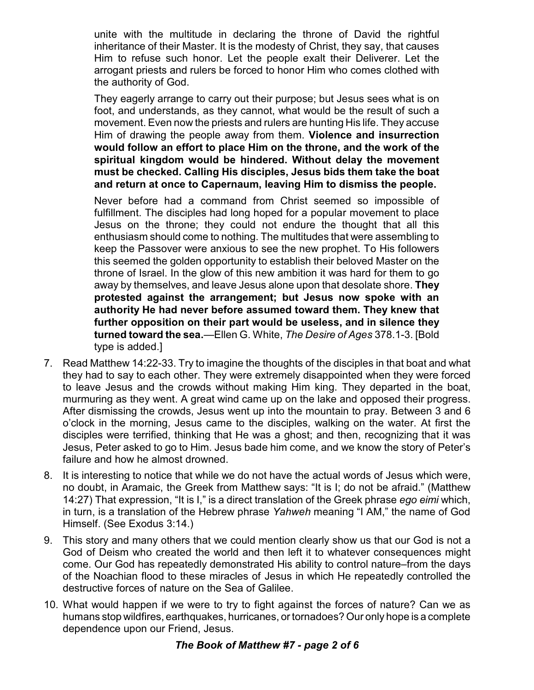unite with the multitude in declaring the throne of David the rightful inheritance of their Master. It is the modesty of Christ, they say, that causes Him to refuse such honor. Let the people exalt their Deliverer. Let the arrogant priests and rulers be forced to honor Him who comes clothed with the authority of God.

They eagerly arrange to carry out their purpose; but Jesus sees what is on foot, and understands, as they cannot, what would be the result of such a movement. Even now the priests and rulers are hunting His life. They accuse Him of drawing the people away from them. **Violence and insurrection would follow an effort to place Him on the throne, and the work of the spiritual kingdom would be hindered. Without delay the movement must be checked. Calling His disciples, Jesus bids them take the boat and return at once to Capernaum, leaving Him to dismiss the people.**

Never before had a command from Christ seemed so impossible of fulfillment. The disciples had long hoped for a popular movement to place Jesus on the throne; they could not endure the thought that all this enthusiasm should come to nothing. The multitudes that were assembling to keep the Passover were anxious to see the new prophet. To His followers this seemed the golden opportunity to establish their beloved Master on the throne of Israel. In the glow of this new ambition it was hard for them to go away by themselves, and leave Jesus alone upon that desolate shore. **They protested against the arrangement; but Jesus now spoke with an authority He had never before assumed toward them. They knew that further opposition on their part would be useless, and in silence they turned toward the sea.**—Ellen G. White, *The Desire of Ages* 378.1-3. [Bold type is added.]

- 7. Read Matthew 14:22-33. Try to imagine the thoughts of the disciples in that boat and what they had to say to each other. They were extremely disappointed when they were forced to leave Jesus and the crowds without making Him king. They departed in the boat, murmuring as they went. A great wind came up on the lake and opposed their progress. After dismissing the crowds, Jesus went up into the mountain to pray. Between 3 and 6 o'clock in the morning, Jesus came to the disciples, walking on the water. At first the disciples were terrified, thinking that He was a ghost; and then, recognizing that it was Jesus, Peter asked to go to Him. Jesus bade him come, and we know the story of Peter's failure and how he almost drowned.
- 8. It is interesting to notice that while we do not have the actual words of Jesus which were, no doubt, in Aramaic, the Greek from Matthew says: "It is I; do not be afraid." (Matthew 14:27) That expression, "It is I," is a direct translation of the Greek phrase *ego eimi* which, in turn, is a translation of the Hebrew phrase *Yahweh* meaning "I AM," the name of God Himself. (See Exodus 3:14.)
- 9. This story and many others that we could mention clearly show us that our God is not a God of Deism who created the world and then left it to whatever consequences might come. Our God has repeatedly demonstrated His ability to control nature–from the days of the Noachian flood to these miracles of Jesus in which He repeatedly controlled the destructive forces of nature on the Sea of Galilee.
- 10. What would happen if we were to try to fight against the forces of nature? Can we as humans stop wildfires, earthquakes, hurricanes, or tornadoes? Our only hope is a complete dependence upon our Friend, Jesus.

# *The Book of Matthew #7 - page 2 of 6*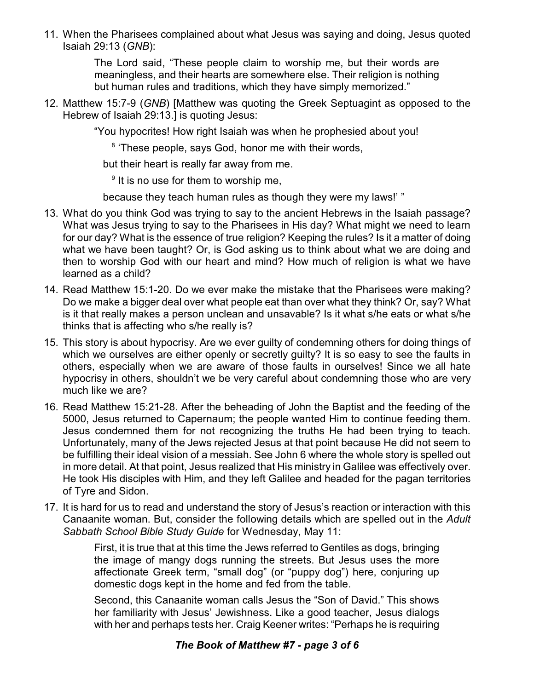11. When the Pharisees complained about what Jesus was saying and doing, Jesus quoted Isaiah 29:13 (*GNB*):

> The Lord said, "These people claim to worship me, but their words are meaningless, and their hearts are somewhere else. Their religion is nothing but human rules and traditions, which they have simply memorized."

12. Matthew 15:7-9 (*GNB*) [Matthew was quoting the Greek Septuagint as opposed to the Hebrew of Isaiah 29:13.] is quoting Jesus:

"You hypocrites! How right Isaiah was when he prophesied about you!

 $8$  'These people, says God, honor me with their words,

but their heart is really far away from me.

 $9$  It is no use for them to worship me,

because they teach human rules as though they were my laws!' "

- 13. What do you think God was trying to say to the ancient Hebrews in the Isaiah passage? What was Jesus trying to say to the Pharisees in His day? What might we need to learn for our day? What is the essence of true religion? Keeping the rules? Is it a matter of doing what we have been taught? Or, is God asking us to think about what we are doing and then to worship God with our heart and mind? How much of religion is what we have learned as a child?
- 14. Read Matthew 15:1-20. Do we ever make the mistake that the Pharisees were making? Do we make a bigger deal over what people eat than over what they think? Or, say? What is it that really makes a person unclean and unsavable? Is it what s/he eats or what s/he thinks that is affecting who s/he really is?
- 15. This story is about hypocrisy. Are we ever guilty of condemning others for doing things of which we ourselves are either openly or secretly guilty? It is so easy to see the faults in others, especially when we are aware of those faults in ourselves! Since we all hate hypocrisy in others, shouldn't we be very careful about condemning those who are very much like we are?
- 16. Read Matthew 15:21-28. After the beheading of John the Baptist and the feeding of the 5000, Jesus returned to Capernaum; the people wanted Him to continue feeding them. Jesus condemned them for not recognizing the truths He had been trying to teach. Unfortunately, many of the Jews rejected Jesus at that point because He did not seem to be fulfilling their ideal vision of a messiah. See John 6 where the whole story is spelled out in more detail. At that point, Jesus realized that His ministry in Galilee was effectively over. He took His disciples with Him, and they left Galilee and headed for the pagan territories of Tyre and Sidon.
- 17. It is hard for us to read and understand the story of Jesus's reaction or interaction with this Canaanite woman. But, consider the following details which are spelled out in the *Adult Sabbath School Bible Study Guide* for Wednesday, May 11:

First, it is true that at this time the Jews referred to Gentiles as dogs, bringing the image of mangy dogs running the streets. But Jesus uses the more affectionate Greek term, "small dog" (or "puppy dog") here, conjuring up domestic dogs kept in the home and fed from the table.

Second, this Canaanite woman calls Jesus the "Son of David." This shows her familiarity with Jesus' Jewishness. Like a good teacher, Jesus dialogs with her and perhaps tests her. Craig Keener writes: "Perhaps he is requiring

# *The Book of Matthew #7 - page 3 of 6*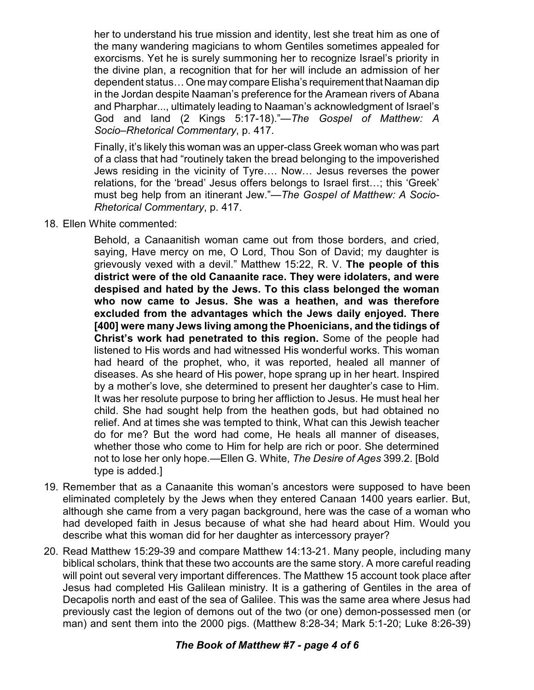her to understand his true mission and identity, lest she treat him as one of the many wandering magicians to whom Gentiles sometimes appealed for exorcisms. Yet he is surely summoning her to recognize Israel's priority in the divine plan, a recognition that for her will include an admission of her dependent status… One may compare Elisha's requirement that Naaman dip in the Jordan despite Naaman's preference for the Aramean rivers of Abana and Pharphar..., ultimately leading to Naaman's acknowledgment of Israel's God and land (2 Kings 5:17-18)."—*The Gospel of Matthew: A Socio–Rhetorical Commentary*, p. 417.

Finally, it's likely this woman was an upper-class Greek woman who was part of a class that had "routinely taken the bread belonging to the impoverished Jews residing in the vicinity of Tyre…. Now… Jesus reverses the power relations, for the 'bread' Jesus offers belongs to Israel first…; this 'Greek' must beg help from an itinerant Jew."—*The Gospel of Matthew: A Socio-Rhetorical Commentary*, p. 417.

18. Ellen White commented:

Behold, a Canaanitish woman came out from those borders, and cried, saying, Have mercy on me, O Lord, Thou Son of David; my daughter is grievously vexed with a devil." Matthew 15:22, R. V. **The people of this district were of the old Canaanite race. They were idolaters, and were despised and hated by the Jews. To this class belonged the woman who now came to Jesus. She was a heathen, and was therefore excluded from the advantages which the Jews daily enjoyed. There [400] were many Jews living among the Phoenicians, and the tidings of Christ's work had penetrated to this region.** Some of the people had listened to His words and had witnessed His wonderful works. This woman had heard of the prophet, who, it was reported, healed all manner of diseases. As she heard of His power, hope sprang up in her heart. Inspired by a mother's love, she determined to present her daughter's case to Him. It was her resolute purpose to bring her affliction to Jesus. He must heal her child. She had sought help from the heathen gods, but had obtained no relief. And at times she was tempted to think, What can this Jewish teacher do for me? But the word had come, He heals all manner of diseases, whether those who come to Him for help are rich or poor. She determined not to lose her only hope.—Ellen G. White, *The Desire of Ages* 399.2. [Bold type is added.]

- 19. Remember that as a Canaanite this woman's ancestors were supposed to have been eliminated completely by the Jews when they entered Canaan 1400 years earlier. But, although she came from a very pagan background, here was the case of a woman who had developed faith in Jesus because of what she had heard about Him. Would you describe what this woman did for her daughter as intercessory prayer?
- 20. Read Matthew 15:29-39 and compare Matthew 14:13-21. Many people, including many biblical scholars, think that these two accounts are the same story. A more careful reading will point out several very important differences. The Matthew 15 account took place after Jesus had completed His Galilean ministry. It is a gathering of Gentiles in the area of Decapolis north and east of the sea of Galilee. This was the same area where Jesus had previously cast the legion of demons out of the two (or one) demon-possessed men (or man) and sent them into the 2000 pigs. (Matthew 8:28-34; Mark 5:1-20; Luke 8:26-39)

#### *The Book of Matthew #7 - page 4 of 6*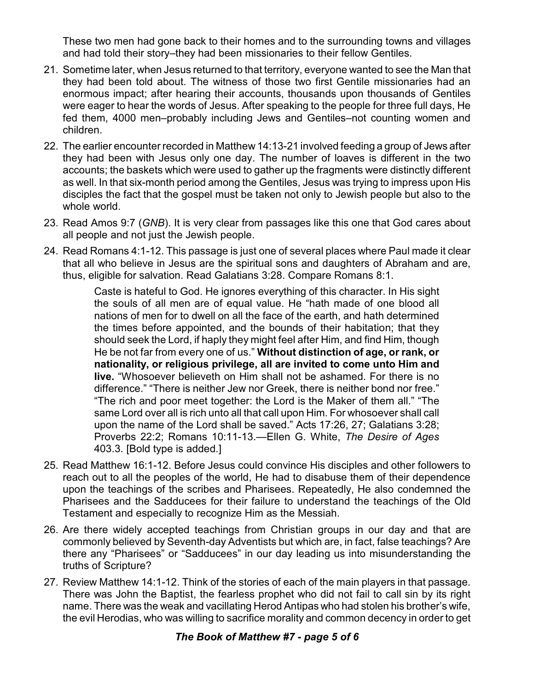These two men had gone back to their homes and to the surrounding towns and villages and had told their story–they had been missionaries to their fellow Gentiles.

- 21. Sometime later, when Jesus returned to that territory, everyone wanted to see the Man that they had been told about. The witness of those two first Gentile missionaries had an enormous impact; after hearing their accounts, thousands upon thousands of Gentiles were eager to hear the words of Jesus. After speaking to the people for three full days, He fed them, 4000 men–probably including Jews and Gentiles–not counting women and children.
- 22. The earlier encounter recorded in Matthew 14:13-21 involved feeding a group of Jews after they had been with Jesus only one day. The number of loaves is different in the two accounts; the baskets which were used to gather up the fragments were distinctly different as well. In that six-month period among the Gentiles, Jesus was trying to impress upon His disciples the fact that the gospel must be taken not only to Jewish people but also to the whole world.
- 23. Read Amos 9:7 (*GNB*). It is very clear from passages like this one that God cares about all people and not just the Jewish people.
- 24. Read Romans 4:1-12. This passage is just one of several places where Paul made it clear that all who believe in Jesus are the spiritual sons and daughters of Abraham and are, thus, eligible for salvation. Read Galatians 3:28. Compare Romans 8:1.

Caste is hateful to God. He ignores everything of this character. In His sight the souls of all men are of equal value. He "hath made of one blood all nations of men for to dwell on all the face of the earth, and hath determined the times before appointed, and the bounds of their habitation; that they should seek the Lord, if haply they might feel after Him, and find Him, though He be not far from every one of us." **Without distinction of age, or rank, or nationality, or religious privilege, all are invited to come unto Him and live.** "Whosoever believeth on Him shall not be ashamed. For there is no difference." "There is neither Jew nor Greek, there is neither bond nor free." "The rich and poor meet together: the Lord is the Maker of them all." "The same Lord over all is rich unto all that call upon Him. For whosoever shall call upon the name of the Lord shall be saved." Acts 17:26, 27; Galatians 3:28; Proverbs 22:2; Romans 10:11-13.—Ellen G. White, *The Desire of Ages* 403.3. [Bold type is added.]

- 25. Read Matthew 16:1-12. Before Jesus could convince His disciples and other followers to reach out to all the peoples of the world, He had to disabuse them of their dependence upon the teachings of the scribes and Pharisees. Repeatedly, He also condemned the Pharisees and the Sadducees for their failure to understand the teachings of the Old Testament and especially to recognize Him as the Messiah.
- 26. Are there widely accepted teachings from Christian groups in our day and that are commonly believed by Seventh-day Adventists but which are, in fact, false teachings? Are there any "Pharisees" or "Sadducees" in our day leading us into misunderstanding the truths of Scripture?
- 27. Review Matthew 14:1-12. Think of the stories of each of the main players in that passage. There was John the Baptist, the fearless prophet who did not fail to call sin by its right name. There was the weak and vacillating Herod Antipas who had stolen his brother's wife, the evil Herodias, who was willing to sacrifice morality and common decency in order to get

# *The Book of Matthew #7 - page 5 of 6*